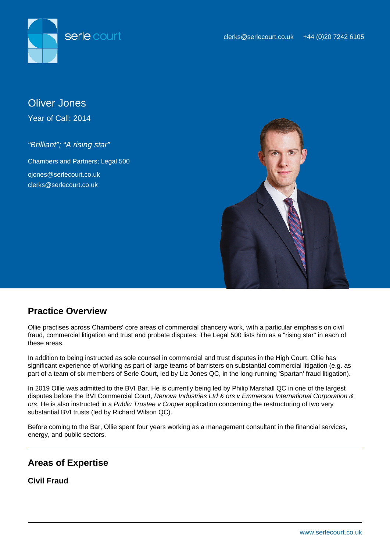



Oliver Jones Year of Call: 2014

"Brilliant"; "A rising star"

Chambers and Partners; Legal 500 ojones@serlecourt.co.uk clerks@serlecourt.co.uk



# **Practice Overview**

Ollie practises across Chambers' core areas of commercial chancery work, with a particular emphasis on civil fraud, commercial litigation and trust and probate disputes. The Legal 500 lists him as a "rising star" in each of these areas.

In addition to being instructed as sole counsel in commercial and trust disputes in the High Court, Ollie has significant experience of working as part of large teams of barristers on substantial commercial litigation (e.g. as part of a team of six members of Serle Court, led by Liz Jones QC, in the long-running 'Spartan' fraud litigation).

In 2019 Ollie was admitted to the BVI Bar. He is currently being led by Philip Marshall QC in one of the largest disputes before the BVI Commercial Court, Renova Industries Ltd & ors v Emmerson International Corporation & ors. He is also instructed in a Public Trustee v Cooper application concerning the restructuring of two very substantial BVI trusts (led by Richard Wilson QC).

Before coming to the Bar, Ollie spent four years working as a management consultant in the financial services, energy, and public sectors.

# **Areas of Expertise**

**Civil Fraud**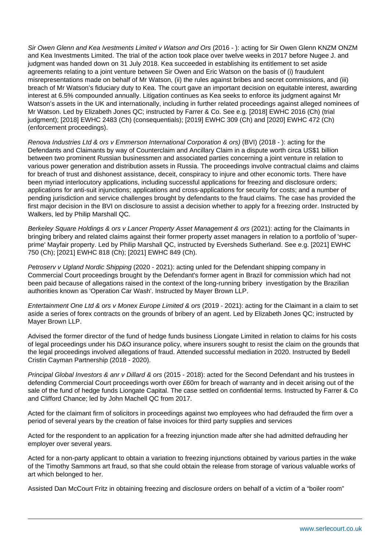Sir Owen Glenn and Kea Ivestments Limited v Watson and Ors (2016 - ): acting for Sir Owen Glenn KNZM ONZM and Kea Investments Limited. The trial of the action took place over twelve weeks in 2017 before Nugee J. and judgment was handed down on 31 July 2018. Kea succeeded in establishing its entitlement to set aside agreements relating to a joint venture between Sir Owen and Eric Watson on the basis of (i) fraudulent misrepresentations made on behalf of Mr Watson, (ii) the rules against bribes and secret commissions, and (iii) breach of Mr Watson's fiduciary duty to Kea. The court gave an important decision on equitable interest, awarding interest at 6.5% compounded annually. Litigation continues as Kea seeks to enforce its judgment against Mr Watson's assets in the UK and internationally, including in further related proceedings against alleged nominees of Mr Watson. Led by Elizabeth Jones QC; instructed by Farrer & Co. See e.g. [2018] EWHC 2016 (Ch) (trial judgment); [2018] EWHC 2483 (Ch) (consequentials); [2019] EWHC 309 (Ch) and [2020] EWHC 472 (Ch) (enforcement proceedings).

Renova Industries Ltd & ors v Emmerson International Corporation & ors) (BVI) (2018 - ): acting for the Defendants and Claimants by way of Counterclaim and Ancillary Claim in a dispute worth circa US\$1 billion between two prominent Russian businessmen and associated parties concerning a joint venture in relation to various power generation and distribution assets in Russia. The proceedings involve contractual claims and claims for breach of trust and dishonest assistance, deceit, conspiracy to injure and other economic torts. There have been myriad interlocutory applications, including successful applications for freezing and disclosure orders; applications for anti-suit injunctions; applications and cross-applications for security for costs; and a number of pending jurisdiction and service challenges brought by defendants to the fraud claims. The case has provided the first major decision in the BVI on disclosure to assist a decision whether to apply for a freezing order. Instructed by Walkers, led by Philip Marshall QC.

Berkeley Square Holdings & ors v Lancer Property Asset Management & ors (2021): acting for the Claimants in bringing bribery and related claims against their former property asset managers in relation to a portfolio of 'superprime' Mayfair property. Led by Philip Marshall QC, instructed by Eversheds Sutherland. See e.g. [2021] EWHC 750 (Ch); [2021] EWHC 818 (Ch); [2021] EWHC 849 (Ch).

Petroserv v Ugland Nordic Shipping (2020 - 2021): acting unled for the Defendant shipping company in Commercial Court proceedings brought by the Defendant's former agent in Brazil for commission which had not been paid because of allegations raised in the context of the long-running bribery investigation by the Brazilian authorities known as 'Operation Car Wash'. Instructed by Mayer Brown LLP.

Entertainment One Ltd & ors v Monex Europe Limited & ors (2019 - 2021): acting for the Claimant in a claim to set aside a series of forex contracts on the grounds of bribery of an agent. Led by Elizabeth Jones QC; instructed by Mayer Brown LLP.

Advised the former director of the fund of hedge funds business Liongate Limited in relation to claims for his costs of legal proceedings under his D&O insurance policy, where insurers sought to resist the claim on the grounds that the legal proceedings involved allegations of fraud. Attended successful mediation in 2020. Instructed by Bedell Cristin Cayman Partnership (2018 - 2020).

Principal Global Investors & anr v Dillard & ors (2015 - 2018): acted for the Second Defendant and his trustees in defending Commercial Court proceedings worth over £60m for breach of warranty and in deceit arising out of the sale of the fund of hedge funds Liongate Capital. The case settled on confidential terms. Instructed by Farrer & Co and Clifford Chance; led by John Machell QC from 2017.

Acted for the claimant firm of solicitors in proceedings against two employees who had defrauded the firm over a period of several years by the creation of false invoices for third party supplies and services

Acted for the respondent to an application for a freezing injunction made after she had admitted defrauding her employer over several years.

Acted for a non-party applicant to obtain a variation to freezing injunctions obtained by various parties in the wake of the Timothy Sammons art fraud, so that she could obtain the release from storage of various valuable works of art which belonged to her.

Assisted Dan McCourt Fritz in obtaining freezing and disclosure orders on behalf of a victim of a "boiler room"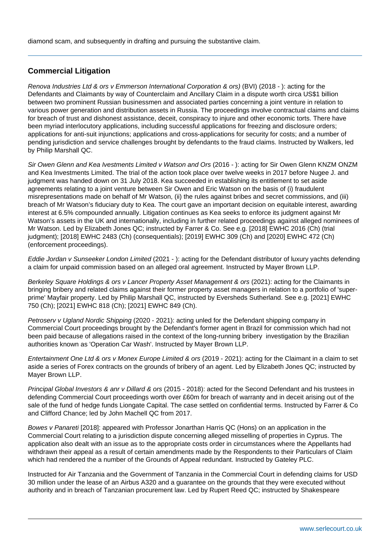diamond scam, and subsequently in drafting and pursuing the substantive claim.

# **Commercial Litigation**

Renova Industries Ltd & ors v Emmerson International Corporation & ors) (BVI) (2018 - ): acting for the Defendants and Claimants by way of Counterclaim and Ancillary Claim in a dispute worth circa US\$1 billion between two prominent Russian businessmen and associated parties concerning a joint venture in relation to various power generation and distribution assets in Russia. The proceedings involve contractual claims and claims for breach of trust and dishonest assistance, deceit, conspiracy to injure and other economic torts. There have been myriad interlocutory applications, including successful applications for freezing and disclosure orders; applications for anti-suit injunctions; applications and cross-applications for security for costs; and a number of pending jurisdiction and service challenges brought by defendants to the fraud claims. Instructed by Walkers, led by Philip Marshall QC.

Sir Owen Glenn and Kea Ivestments Limited v Watson and Ors (2016 - ): acting for Sir Owen Glenn KNZM ONZM and Kea Investments Limited. The trial of the action took place over twelve weeks in 2017 before Nugee J. and judgment was handed down on 31 July 2018. Kea succeeded in establishing its entitlement to set aside agreements relating to a joint venture between Sir Owen and Eric Watson on the basis of (i) fraudulent misrepresentations made on behalf of Mr Watson, (ii) the rules against bribes and secret commissions, and (iii) breach of Mr Watson's fiduciary duty to Kea. The court gave an important decision on equitable interest, awarding interest at 6.5% compounded annually. Litigation continues as Kea seeks to enforce its judgment against Mr Watson's assets in the UK and internationally, including in further related proceedings against alleged nominees of Mr Watson. Led by Elizabeth Jones QC; instructed by Farrer & Co. See e.g. [2018] EWHC 2016 (Ch) (trial judgment); [2018] EWHC 2483 (Ch) (consequentials); [2019] EWHC 309 (Ch) and [2020] EWHC 472 (Ch) (enforcement proceedings).

Eddie Jordan v Sunseeker London Limited (2021 - ): acting for the Defendant distributor of luxury yachts defending a claim for unpaid commission based on an alleged oral agreement. Instructed by Mayer Brown LLP.

Berkeley Square Holdings & ors v Lancer Property Asset Management & ors (2021): acting for the Claimants in bringing bribery and related claims against their former property asset managers in relation to a portfolio of 'superprime' Mayfair property. Led by Philip Marshall QC, instructed by Eversheds Sutherland. See e.g. [2021] EWHC 750 (Ch); [2021] EWHC 818 (Ch); [2021] EWHC 849 (Ch).

Petrosery y Ugland Nordic Shipping (2020 - 2021): acting unled for the Defendant shipping company in Commercial Court proceedings brought by the Defendant's former agent in Brazil for commission which had not been paid because of allegations raised in the context of the long-running bribery investigation by the Brazilian authorities known as 'Operation Car Wash'. Instructed by Mayer Brown LLP.

Entertainment One Ltd & ors v Monex Europe Limited & ors (2019 - 2021): acting for the Claimant in a claim to set aside a series of Forex contracts on the grounds of bribery of an agent. Led by Elizabeth Jones QC; instructed by Mayer Brown LLP.

Principal Global Investors & anr v Dillard & ors (2015 - 2018): acted for the Second Defendant and his trustees in defending Commercial Court proceedings worth over £60m for breach of warranty and in deceit arising out of the sale of the fund of hedge funds Liongate Capital. The case settled on confidential terms. Instructed by Farrer & Co and Clifford Chance; led by John Machell QC from 2017.

Bowes v Panareti [2018]: appeared with Professor Jonarthan Harris QC (Hons) on an application in the Commercial Court relating to a jurisdiction dispute concerning alleged misselling of properties in Cyprus. The application also dealt with an issue as to the appropriate costs order in circumstances where the Appellants had withdrawn their appeal as a result of certain amendments made by the Respondents to their Particulars of Claim which had rendered the a number of the Grounds of Appeal redundant. Instructed by Gateley PLC.

Instructed for Air Tanzania and the Government of Tanzania in the Commercial Court in defending claims for USD 30 million under the lease of an Airbus A320 and a guarantee on the grounds that they were executed without authority and in breach of Tanzanian procurement law. Led by Rupert Reed QC; instructed by Shakespeare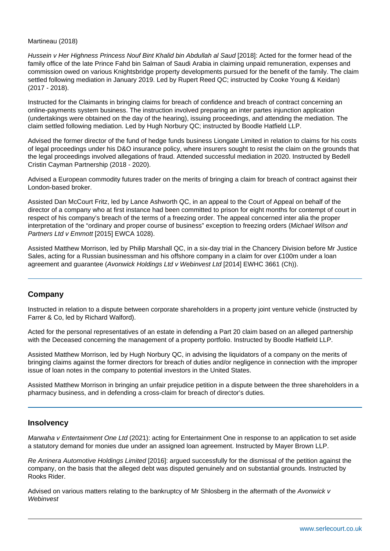#### Martineau (2018)

Hussein v Her Highness Princess Nouf Bint Khalid bin Abdullah al Saud [2018]: Acted for the former head of the family office of the late Prince Fahd bin Salman of Saudi Arabia in claiming unpaid remuneration, expenses and commission owed on various Knightsbridge property developments pursued for the benefit of the family. The claim settled following mediation in January 2019. Led by Rupert Reed QC; instructed by Cooke Young & Keidan) (2017 - 2018).

Instructed for the Claimants in bringing claims for breach of confidence and breach of contract concerning an online-payments system business. The instruction involved preparing an inter partes injunction application (undertakings were obtained on the day of the hearing), issuing proceedings, and attending the mediation. The claim settled following mediation. Led by Hugh Norbury QC; instructed by Boodle Hatfield LLP.

Advised the former director of the fund of hedge funds business Liongate Limited in relation to claims for his costs of legal proceedings under his D&O insurance policy, where insurers sought to resist the claim on the grounds that the legal proceedings involved allegations of fraud. Attended successful mediation in 2020. Instructed by Bedell Cristin Cayman Partnership (2018 - 2020).

Advised a European commodity futures trader on the merits of bringing a claim for breach of contract against their London-based broker.

Assisted Dan McCourt Fritz, led by Lance Ashworth QC, in an appeal to the Court of Appeal on behalf of the director of a company who at first instance had been committed to prison for eight months for contempt of court in respect of his company's breach of the terms of a freezing order. The appeal concerned inter alia the proper interpretation of the "ordinary and proper course of business" exception to freezing orders (Michael Wilson and Partners Ltd v Emmott [2015] EWCA 1028).

Assisted Matthew Morrison, led by Philip Marshall QC, in a six-day trial in the Chancery Division before Mr Justice Sales, acting for a Russian businessman and his offshore company in a claim for over £100m under a loan agreement and guarantee (Avonwick Holdings Ltd v Webinvest Ltd [2014] EWHC 3661 (Ch)).

# **Company**

Instructed in relation to a dispute between corporate shareholders in a property joint venture vehicle (instructed by Farrer & Co, led by Richard Walford).

Acted for the personal representatives of an estate in defending a Part 20 claim based on an alleged partnership with the Deceased concerning the management of a property portfolio. Instructed by Boodle Hatfield LLP.

Assisted Matthew Morrison, led by Hugh Norbury QC, in advising the liquidators of a company on the merits of bringing claims against the former directors for breach of duties and/or negligence in connection with the improper issue of loan notes in the company to potential investors in the United States.

Assisted Matthew Morrison in bringing an unfair prejudice petition in a dispute between the three shareholders in a pharmacy business, and in defending a cross-claim for breach of director's duties.

#### **Insolvency**

Marwaha v Entertainment One Ltd (2021): acting for Entertainment One in response to an application to set aside a statutory demand for monies due under an assigned loan agreement. Instructed by Mayer Brown LLP.

Re Arrinera Automotive Holdings Limited [2016]: argued successfully for the dismissal of the petition against the company, on the basis that the alleged debt was disputed genuinely and on substantial grounds. Instructed by Rooks Rider.

Advised on various matters relating to the bankruptcy of Mr Shlosberg in the aftermath of the Avonwick v **Webinvest**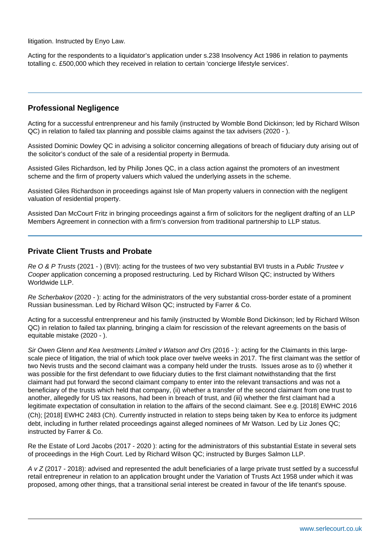litigation. Instructed by Enyo Law.

Acting for the respondents to a liquidator's application under s.238 Insolvency Act 1986 in relation to payments totalling c. £500,000 which they received in relation to certain 'concierge lifestyle services'.

# **Professional Negligence**

Acting for a successful entrenpreneur and his family (instructed by Womble Bond Dickinson; led by Richard Wilson QC) in relation to failed tax planning and possible claims against the tax advisers (2020 - ).

Assisted Dominic Dowley QC in advising a solicitor concerning allegations of breach of fiduciary duty arising out of the solicitor's conduct of the sale of a residential property in Bermuda.

Assisted Giles Richardson, led by Philip Jones QC, in a class action against the promoters of an investment scheme and the firm of property valuers which valued the underlying assets in the scheme.

Assisted Giles Richardson in proceedings against Isle of Man property valuers in connection with the negligent valuation of residential property.

Assisted Dan McCourt Fritz in bringing proceedings against a firm of solicitors for the negligent drafting of an LLP Members Agreement in connection with a firm's conversion from traditional partnership to LLP status.

### **Private Client Trusts and Probate**

Re O & P Trusts (2021 - ) (BVI): acting for the trustees of two very substantial BVI trusts in a Public Trustee v Cooper application concerning a proposed restructuring. Led by Richard Wilson QC; instructed by Withers Worldwide LLP.

Re Scherbakov (2020 - ): acting for the administrators of the very substantial cross-border estate of a prominent Russian businessman. Led by Richard Wilson QC; instructed by Farrer & Co.

Acting for a successful entrenpreneur and his family (instructed by Womble Bond Dickinson; led by Richard Wilson QC) in relation to failed tax planning, bringing a claim for rescission of the relevant agreements on the basis of equitable mistake (2020 - ).

Sir Owen Glenn and Kea Ivestments Limited v Watson and Ors (2016 - ): acting for the Claimants in this largescale piece of litigation, the trial of which took place over twelve weeks in 2017. The first claimant was the settlor of two Nevis trusts and the second claimant was a company held under the trusts. Issues arose as to (i) whether it was possible for the first defendant to owe fiduciary duties to the first claimant notwithstanding that the first claimant had put forward the second claimant company to enter into the relevant transactions and was not a beneficiary of the trusts which held that company, (ii) whether a transfer of the second claimant from one trust to another, allegedly for US tax reasons, had been in breach of trust, and (iii) whether the first claimant had a legitimate expectation of consultation in relation to the affairs of the second claimant. See e.g. [2018] EWHC 2016 (Ch); [2018] EWHC 2483 (Ch). Currently instructed in relation to steps being taken by Kea to enforce its judgment debt, including in further related proceedings against alleged nominees of Mr Watson. Led by Liz Jones QC; instructed by Farrer & Co.

Re the Estate of Lord Jacobs (2017 - 2020 ): acting for the administrators of this substantial Estate in several sets of proceedings in the High Court. Led by Richard Wilson QC; instructed by Burges Salmon LLP.

A v Z (2017 - 2018): advised and represented the adult beneficiaries of a large private trust settled by a successful retail entrepreneur in relation to an application brought under the Variation of Trusts Act 1958 under which it was proposed, among other things, that a transitional serial interest be created in favour of the life tenant's spouse.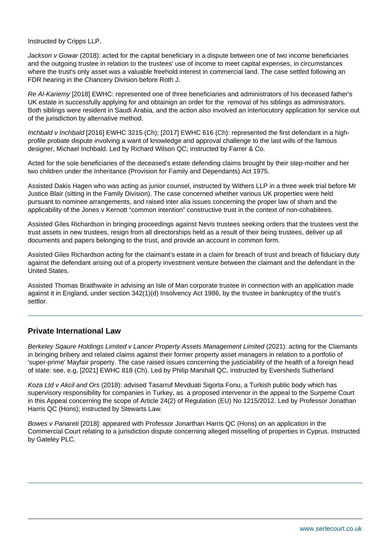Instructed by Cripps LLP.

Jackson v Gowar (2018): acted for the capital beneficiary in a dispute between one of two income beneficiaries and the outgoing trustee in relation to the trustees' use of income to meet capital expenses, in circumstances where the trust's only asset was a valuable freehold interest in commercial land. The case settled following an FDR hearing in the Chancery Division before Roth J.

Re Al-Kariemy [2018] EWHC: represented one of three beneficiaries and administrators of his deceased father's UK estate in successfully applying for and obtainign an order for the removal of his siblings as administrators. Both siblings were resident in Saudi Arabia, and the action also involved an interlocutory application for service out of the jurisdiction by alternative method.

Inchbald v Inchbald [2016] EWHC 3215 (Ch); [2017] EWHC 616 (Ch): represented the first defendant in a highprofile probate dispute involving a want of knowledge and approval challenge to the last wills of the famous designer, Michael Inchbald. Led by Richard Wilson QC; instructed by Farrer & Co.

Acted for the sole beneficiaries of the deceased's estate defending claims brought by their step-mother and her two children under the Inheritance (Provision for Family and Dependants) Act 1975.

Assisted Dakis Hagen who was acting as junior counsel, instructed by Withers LLP in a three week trial before Mr Justice Blair (sitting in the Family Division). The case concerned whether various UK properties were held pursuant to nominee arrangements, and raised inter alia issues concerning the proper law of sham and the applicability of the Jones v Kernott "common intention" constructive trust in the context of non-cohabitees.

Assisted Giles Richardson in bringing proceedings against Nevis trustees seeking orders that the trustees vest the trust assets in new trustees, resign from all directorships held as a result of their being trustees, deliver up all documents and papers belonging to the trust, and provide an account in common form.

Assisted Giles Richardson acting for the claimant's estate in a claim for breach of trust and breach of fiduciary duty against the defendant arising out of a property investment venture between the claimant and the defendant in the United States.

Assisted Thomas Braithwaite in advising an Isle of Man corporate trustee in connection with an application made against it in England, under section 342(1)(d) Insolvency Act 1986, by the trustee in bankruptcy of the trust's settlor.

### **Private International Law**

Berkeley Sqaure Holdings Limited v Lancer Property Assets Management Limited (2021): acting for the Claimants in bringing bribery and related claims against their former property asset managers in relation to a portfolio of 'super-prime' Mayfair property. The case raised issues concerning the justiciability of the health of a foreign head of state: see, e.g, [2021] EWHC 818 (Ch). Led by Philip Marshall QC, instructed by Eversheds Sutherland

Koza Ltd v Akcil and Ors (2018): advised Tasarruf Mevduati Sigorta Fonu, a Turkish public body which has supervisory responsibility for companies in Turkey, as a proposed intervenor in the appeal to the Surpeme Court in this Appeal concerning the scope of Article 24(2) of Regulation (EU) No 1215/2012. Led by Professor Jonathan Harris QC (Hons); instructed by Stewarts Law.

Bowes v Panareti [2018]: appeared with Professor Jonarthan Harris QC (Hons) on an application in the Commercial Court relating to a jurisdiction dispute concerning alleged misselling of properties in Cyprus. Instructed by Gateley PLC.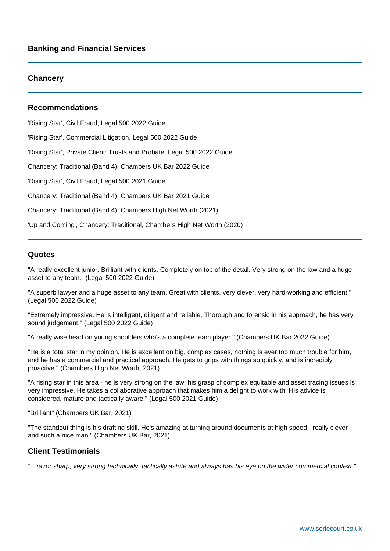# **Chancery**

# **Recommendations**

'Rising Star', Civil Fraud, Legal 500 2022 Guide

'Rising Star', Commercial Litigation, Legal 500 2022 Guide

'Rising Star', Private Client: Trusts and Probate, Legal 500 2022 Guide

Chancery: Traditional (Band 4), Chambers UK Bar 2022 Guide

'Rising Star', Civil Fraud, Legal 500 2021 Guide

Chancery: Traditional (Band 4), Chambers UK Bar 2021 Guide

Chancery: Traditional (Band 4), Chambers High Net Worth (2021)

'Up and Coming', Chancery: Traditional, Chambers High Net Worth (2020)

# **Quotes**

"A really excellent junior. Brilliant with clients. Completely on top of the detail. Very strong on the law and a huge asset to any team." (Legal 500 2022 Guide)

"A superb lawyer and a huge asset to any team. Great with clients, very clever, very hard-working and efficient." (Legal 500 2022 Guide)

"Extremely impressive. He is intelligent, diligent and reliable. Thorough and forensic in his approach, he has very sound judgement." (Legal 500 2022 Guide)

"A really wise head on young shoulders who's a complete team player." (Chambers UK Bar 2022 Guide)

"He is a total star in my opinion. He is excellent on big, complex cases, nothing is ever too much trouble for him, and he has a commercial and practical approach. He gets to grips with things so quickly, and is incredibly proactive." (Chambers High Net Worth, 2021)

"A rising star in this area - he is very strong on the law; his grasp of complex equitable and asset tracing issues is very impressive. He takes a collaborative approach that makes him a delight to work with. His advice is considered, mature and tactically aware." (Legal 500 2021 Guide)

"Brilliant" (Chambers UK Bar, 2021)

"The standout thing is his drafting skill. He's amazing at turning around documents at high speed - really clever and such a nice man." (Chambers UK Bar, 2021)

# **Client Testimonials**

"…razor sharp, very strong technically, tactically astute and always has his eye on the wider commercial context."